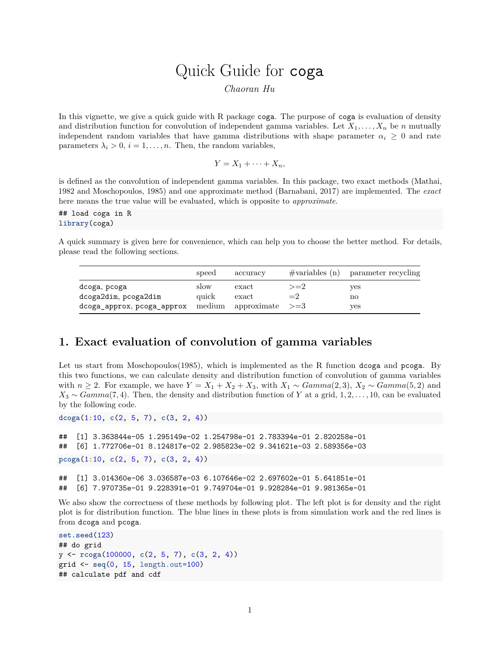# Quick Guide for coga

*Chaoran Hu*

In this vignette, we give a quick guide with R package coga. The purpose of coga is evaluation of density and distribution function for convolution of independent gamma variables. Let  $X_1, \ldots, X_n$  be *n* mutually independent random variables that have gamma distributions with shape parameter  $\alpha_i \geq 0$  and rate parameters  $\lambda_i > 0$ ,  $i = 1, \ldots, n$ . Then, the random variables,

$$
Y = X_1 + \cdots + X_n,
$$

is defined as the convolution of independent gamma variables. In this package, two exact methods (Mathai, 1982 and Moschopoulos, 1985) and one approximate method (Barnabani, 2017) are implemented. The *exact* here means the true value will be evaluated, which is opposite to *approximate*.

## load coga in R **library**(coga)

A quick summary is given here for convenience, which can help you to choose the better method. For details, please read the following sections.

|                            | speed | accuracy                      |       | $\#$ variables (n) parameter recycling |
|----------------------------|-------|-------------------------------|-------|----------------------------------------|
| dcoga, pcoga               | slow  | $\boldsymbol{\mathrm{exact}}$ | $>=2$ | yes                                    |
| dcoga2dim, pcoga2dim       | quick | $\boldsymbol{\mathrm{exact}}$ | $=2$  | no                                     |
| dcoga_approx, pcoga_approx |       | medium approximate $>=3$      |       | yes                                    |

## **1. Exact evaluation of convolution of gamma variables**

Let us start from Moschopoulos(1985), which is implemented as the R function dcoga and pcoga. By this two functions, we can calculate density and distribution function of convolution of gamma variables with  $n \geq 2$ . For example, we have  $Y = X_1 + X_2 + X_3$ , with  $X_1 \sim Gamma(2, 3)$ ,  $X_2 \sim Gamma(5, 2)$  and *X*<sup>3</sup> ∼ *Gamma*(7*,* 4). Then, the density and distribution function of *Y* at a grid, 1*,* 2*, . . . ,* 10, can be evaluated by the following code.

**dcoga**(1**:**10, **c**(2, 5, 7), **c**(3, 2, 4))

```
## [1] 3.363844e-05 1.295149e-02 1.254798e-01 2.783394e-01 2.820258e-01
## [6] 1.772706e-01 8.124817e-02 2.985823e-02 9.341621e-03 2.589356e-03
pcoga(1:10, c(2, 5, 7), c(3, 2, 4))
```
## [1] 3.014360e-06 3.036587e-03 6.107646e-02 2.697602e-01 5.641851e-01 ## [6] 7.970735e-01 9.228391e-01 9.749704e-01 9.928284e-01 9.981365e-01

We also show the correctness of these methods by following plot. The left plot is for density and the right plot is for distribution function. The blue lines in these plots is from simulation work and the red lines is from dcoga and pcoga.

```
set.seed(123)
## do grid
y <- rcoga(100000, c(2, 5, 7), c(3, 2, 4))
grid <- seq(0, 15, length.out=100)
## calculate pdf and cdf
```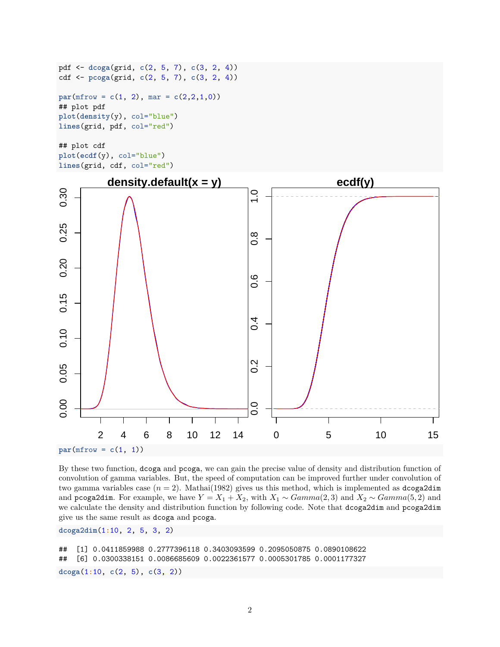```
pdf <- dcoga(grid, c(2, 5, 7), c(3, 2, 4))
cdf <- pcoga(grid, c(2, 5, 7), c(3, 2, 4))
par(mfrow = c(1, 2), mar = c(2,2,1,0))## plot pdf
plot(density(y), col="blue")
lines(grid, pdf, col="red")
## plot cdf
```

```
plot(ecdf(y), col="blue")
lines(grid, cdf, col="red")
```


By these two function, dcoga and pcoga, we can gain the precise value of density and distribution function of convolution of gamma variables. But, the speed of computation can be improved further under convolution of two gamma variables case  $(n = 2)$ . Mathai(1982) gives us this method, which is implemented as dcoga2dim and pcoga2dim. For example, we have  $Y = X_1 + X_2$ , with  $X_1 \sim Gamma(2, 3)$  and  $X_2 \sim Gamma(5, 2)$  and we calculate the density and distribution function by following code. Note that dcoga2dim and pcoga2dim give us the same result as dcoga and pcoga.

**dcoga2dim**(1**:**10, 2, 5, 3, 2)

```
## [1] 0.0411859988 0.2777396118 0.3403093599 0.2095050875 0.0890108622
## [6] 0.0300338151 0.0086685609 0.0022361577 0.0005301785 0.0001177327
dcoga(1:10, c(2, 5), c(3, 2))
```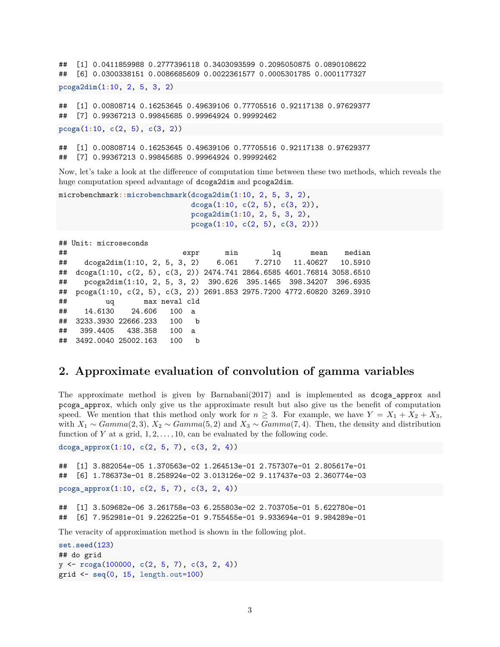```
## [1] 0.0411859988 0.2777396118 0.3403093599 0.2095050875 0.0890108622
## [6] 0.0300338151 0.0086685609 0.0022361577 0.0005301785 0.0001177327
pcoga2dim(1:10, 2, 5, 3, 2)
## [1] 0.00808714 0.16253645 0.49639106 0.77705516 0.92117138 0.97629377
## [7] 0.99367213 0.99845685 0.99964924 0.99992462
pcoga(1:10, c(2, 5), c(3, 2))
```
## [1] 0.00808714 0.16253645 0.49639106 0.77705516 0.92117138 0.97629377 ## [7] 0.99367213 0.99845685 0.99964924 0.99992462

Now, let's take a look at the difference of computation time between these two methods, which reveals the huge computation speed advantage of dcoga2dim and pcoga2dim.

```
microbenchmark::microbenchmark(dcoga2dim(1:10, 2, 5, 3, 2),
                               dcoga(1:10, c(2, 5), c(3, 2)),
                               pcoga2dim(1:10, 2, 5, 3, 2),
                               pcoga(1:10, c(2, 5), c(3, 2)))
```

```
## Unit: microseconds
## expr min lq mean median
## dcoga2dim(1:10, 2, 5, 3, 2) 6.061 7.2710 11.40627 10.5910
## dcoga(1:10, c(2, 5), c(3, 2)) 2474.741 2864.6585 4601.76814 3058.6510
## pcoga2dim(1:10, 2, 5, 3, 2) 390.626 395.1465 398.34207 396.6935
## pcoga(1:10, c(2, 5), c(3, 2)) 2691.853 2975.7200 4772.60820 3269.3910
## uq max neval cld
## 14.6130 24.606 100 a
## 3233.3930 22666.233 100 b
## 399.4405 438.358 100 a
## 3492.0040 25002.163 100 b
```
#### **2. Approximate evaluation of convolution of gamma variables**

The approximate method is given by Barnabani(2017) and is implemented as dcoga\_approx and pcoga\_approx, which only give us the approximate result but also give us the benefit of computation speed. We mention that this method only work for  $n \geq 3$ . For example, we have  $Y = X_1 + X_2 + X_3$ , with  $X_1 \sim \text{Gamma}(2, 3), X_2 \sim \text{Gamma}(5, 2)$  and  $X_3 \sim \text{Gamma}(7, 4)$ . Then, the density and distribution function of  $Y$  at a grid,  $1, 2, \ldots, 10$ , can be evaluated by the following code.

**dcoga\_approx**(1**:**10, **c**(2, 5, 7), **c**(3, 2, 4))

```
## [1] 3.882054e-05 1.370563e-02 1.264513e-01 2.757307e-01 2.805617e-01
## [6] 1.786373e-01 8.258924e-02 3.013126e-02 9.117437e-03 2.360774e-03
pcoga_approx(1:10, c(2, 5, 7), c(3, 2, 4))
## [1] 3.509682e-06 3.261758e-03 6.255803e-02 2.703705e-01 5.622780e-01
## [6] 7.952981e-01 9.226225e-01 9.755455e-01 9.933694e-01 9.984289e-01
The veracity of approximation method is shown in the following plot.
set.seed(123)
```

```
## do grid
y <- rcoga(100000, c(2, 5, 7), c(3, 2, 4))
grid <- seq(0, 15, length.out=100)
```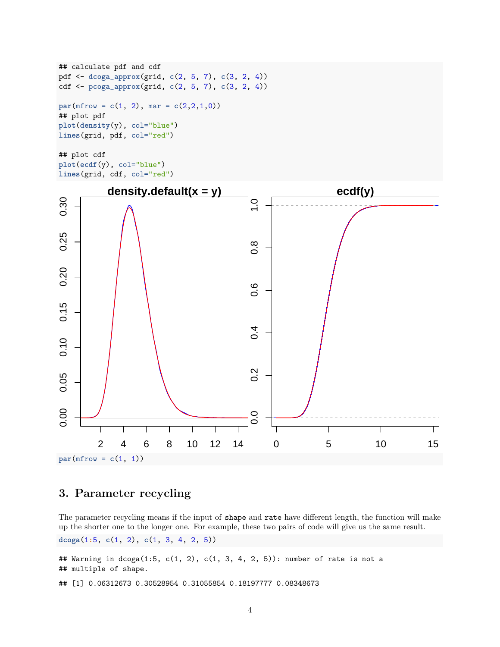```
## calculate pdf and cdf
pdf <- dcoga_approx(grid, c(2, 5, 7), c(3, 2, 4))
cdf <- pcoga_approx(grid, c(2, 5, 7), c(3, 2, 4))
par(mfrow = c(1, 2), mar = c(2,2,1,0))## plot pdf
plot(density(y), col="blue")
lines(grid, pdf, col="red")
## plot cdf
```

```
plot(ecdf(y), col="blue")
lines(grid, cdf, col="red")
```


## **3. Parameter recycling**

The parameter recycling means if the input of shape and rate have different length, the function will make up the shorter one to the longer one. For example, these two pairs of code will give us the same result.

**dcoga**(1**:**5, **c**(1, 2), **c**(1, 3, 4, 2, 5))

## Warning in dcoga(1:5, c(1, 2), c(1, 3, 4, 2, 5)): number of rate is not a ## multiple of shape.

## [1] 0.06312673 0.30528954 0.31055854 0.18197777 0.08348673